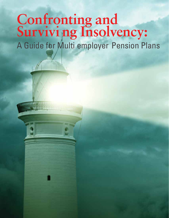# **Confronting and Survivi ng Insolvency:**  A Guide for Multi employer Pension Plans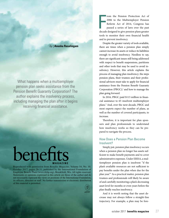## A Guide for Multi employer Pension Plans *by |* **Anusha Rasalingam**

What happens when a multiemployer pension plan seeks assistance from the Pension Benefit Guaranty Corporation? The author explains the insolvency process, including managing the plan after it begins receiving financial assistance.

## benef **MAGAZINE**

Reproduced with permission from *Benefits Magazine,* Volume 54, No. 10, October 2017, pages 26-31, published by the International Foundation of Employee Benefit Plans (www.ifebp.org), Brookfield, Wis. All rights reserved. Statements or opinions expressed in this article are those of the author and do not necessarily represent the views or positions of the International Foundation, its officers, directors or staff. No further transmission or electronic distribution of this material is permitted.

From the Pension Protection Act of 2006 to the Multiemployer Pension Reform Act of 2014, Congress has passed a series of laws over the past decade designed to give pension plans greater tools to monitor their own financial health and to prevent insolvency. Despite the greater variety of tools available, there are times when a pension plan simply

rom the Pension Protection Act of 2006 to the Multiemployer Pension Reform Act of 2014, Congress has passed a series of laws over the past

cannot increase its assets or reduce its liabilities enough to avoid insolvency. Needless to say, there are significant issues still being addressed with respect to benefit suspensions, partitions and other tools that may be used to avoid insolvency. However, this article explains the process of managing plan insolvency; the steps pension plans, their trustees and their professional advisors must take to apply for financial assistance from the Pension Benefit Guaranty Corporation (PBGC);<sup>1</sup> and how to manage the plan going forward.

In 2016, PBGC paid \$113 million in financial assistance to 65 insolvent multiemployer plans.2 And, over the next decade, PBGC and most experts expect the number of plans, as well as the number of covered participants, to increase.

Therefore, it is important for plan sponsors and plan professionals to understand how insolvency works so they can be prepared to navigate the process.

## How Does a Pension Plan Become Insolvent?

Simply put, pension plan insolvency occurs when a pension plan no longer has assets sufficient to make benefit payments and to cover administrative expenses. Under ERISA, a multiemployer pension plan is insolvent "if the plan's available resources are not sufficient to pay benefits under the plan when due for the plan year."3 As a practical matter, pension plan trustees and professionals will likely be aware of and carefully monitoring a plan's decreasing asset level for months or even years before the plan finally reaches insolvency.

And it is worth noting that the asset decrease may not always follow a straight-line trajectory. For example, a plan may be fore-

pdf/1017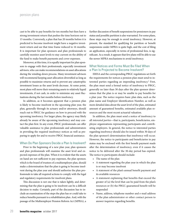cast to be able to pay benefits for ten months but then have a strong investment return that pushes the time horizon out to 15 months. Conversely, a plan that has 20 months before it is predicted to become insolvent might have a negative investment return and see that time frame reduced to 16 months. It is important for plan sponsors and plan professionals to carefully monitor asset levels to stay current on the ability of the fund to make benefit payments and cover expenses.

Moreover, at this time, it is equally important for plan sponsors to engage with their professionals, especially investment advisors, who can make recommendations on asset allocations during the winding-down process. Many investment advisors will recommend keeping asset allocation diversified as long as possible to maximize returns and to prevent any catastrophic investment losses as the asset levels decrease. At some point, most plans will move their remaining assets to relatively liquid investments, if not cash, in order to minimize any asset fluctuations during the last months before insolvency.

In addition, as it becomes apparent that a pension plan is likely to become insolvent in the upcoming plan year, the plan, generally through its actuary and/or attorneys, should reach out to PBGC for guidance on how to proceed with the upcoming insolvency. For larger plans, the agency may likely already be aware of the upcoming insolvency and may contact the plan first. In any event, PBGC professionals can offer valuable assistance to plan professionals and administrators in providing the required insolvency notices as well as preparing to apply for and to receive PBGC financial assistance.

### When Do Plan Sponsors Decide a Plan Is Insolvent?

Prior to the beginning of a new plan year, plan sponsors and plan professionals will examine the asset level and expected expenses of the plan. When it is evident that the assets on hand are not sufficient to pay expenses, the plan sponsor, which is the board of trustees of a multiemployer plan, should make a determination that the plan is going to become insolvent during the plan year and should authorize the plan professionals to take all required actions to comply with the legal and regulatory requirements for insolvent plans.

This discussion is not one that is taken lightly, and determining that the plan is going to be insolvent can be a difficult decision to make. Certainly, part of the discussion has to include an examination of the steps the plan has or could take to reduce benefits pursuant to a rehabilitation plan. And, with the passage of the Multiemployer Pension Reform Act (MPRA), a further discussion of benefit suspensions for pensioners in pay status and possible partition is also warranted. For some plans, these steps may be enough to avoid insolvency. However, at present, the standard for qualifying for partition or benefit suspensions under MPRA is quite high, and the cost of filing an application, especially in terms of professional fees, is significant. As a result, it appears that few plans will be able to use the newer MPRA mechanisms to avoid insolvency.

## What Notices and Forms Must Be Filed When a Plan Is Projected to Become Insolvent?

ERISA and the corresponding PBGC regulations set forth the requirements for notices a pension plan must send to interested parties regarding an impending insolvency.<sup>4</sup> First, the plan must send a formal notice of insolvency to PBGC, generally no later than 30 days after the plan sponsor determines that the plan is or may be unable to pay benefits for a plan year. The notice requires basic plan data, such as the plan name and Employer Identification Number, as well as more detailed data about the asset level of the plan, estimated amount of guaranteed benefits, estimated available plan resources and the most recent actuarial valuation.

In addition, the plan must send a notice of insolvency to all *interested parties*—that is, participants, beneficiaries, employee organizations representing participants and contributing employers. In general, the notice to interested parties regarding insolvency should also be issued within 30 days of the plan sponsor's determination that insolvency will occur. However, the notice to participants and beneficiaries in pay status may be enclosed with the first benefit payment made after the determination of insolvency, even if it causes the notice to be delivered after the 30-day period has expired. The notice to participants should include:

- The name of the plan
- A statement regarding the plan year in which the plan is or may become insolvent
- A statement of the plan's annual benefit payment and its available resources
- A statement explaining that benefits that exceed the greater of (a) the level that can be paid from the plan's resources or (b) the PBGC-guaranteed benefit will be suspended
- Name, address, telephone number and e-mail address of the plan administrator or other contact person to answer inquiries regarding benefits.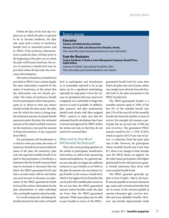Within 60 days of the first day of a plan year in which the plan is expected to be or become insolvent, the plan also must send a notice of insolvency benefit level to interested parties and to PBGC. If the insolvency determination is made less than 120 days prior to the beginning of the plan year in which the plan will become insolvent, the notice of insolvency benefit level may be provided within 60 days after the insolvency determination.

The notice of insolvency benefit level provided to PBGC must contain largely the same information required for the notice of insolvency, to the extent that the information was not already provided. The notice of insolvency benefit level to participants (other than participants in or about to enter pay status) should include the plan name, the plan year for which the notice is being sent, the estimated amount of annual benefit payments under the plan, the estimated amount of the plan's available resources for the insolvency year and the amount of financial assistance, if any, requested from PBGC.

For participants and beneficiaries in or about to enter pay status, the notice of insolvency benefit level must include the name of the plan, the insolvency plan year, the expected monthly benefit to be paid to that participant or beneficiary, a statement that the benefit amount listed may be increased or decreased (but not below the PBGC-guaranteed level) and that a second notice will be sent before any such increase or decrease, an explanation of the PBGC-guaranteed benefit level and the contact information for the plan administrator or other individual who can handle inquiries about benefits.

It is worth noting that calculating the benefit amounts for the notice of benefit

## learn more

#### **Education**

**Trustees and Administrators Institutes February 12-14, 2018, Lake Buena Vista (Orlando), Florida** Visit *www.ifebp.org/trusteesadministrators* for more information.

#### **From the Bookstore**

**Trustee Handbook: A Guide to Labor-Management Employee Benefit Plans, Eighth Edition**

Lawrence R. Beebe. International Foundation. 2017. Visit *www.ifebp.org/trusteehandbook* for more details.

level to participants and beneficiaries in or reasonably expected to be in pay status can be a significant undertaking, especially for large plans. Given the volume of calculations that may need to be completed, it is worthwhile to begin this process as early as possible. In addition, plan sponsors and plan professionals should work closely with their assigned PBGC contacts to make sure that the estimated benefit calculations have been reviewed and approved by PBGC before the notices are sent, so that they do not need to be corrected later.

## When and by How Much Will Benefits Be Reduced?

This is the most pressing question on the minds of participants, beneficiaries and trustees, as well as their sponsoring unions and employers. As a general matter, once the plan no longer has sufficient resources to pay benefits as set forth in the plan documents, the next phase is to pay benefits at the *resource benefit* level*,* which is the highest level of benefits that can be paid with available plan resources but no less than the PBGC-guaranteed amount (unless benefits under the plan are lower than the PBGC-guaranteed amount). While some plans may be able to pay benefits in excess of the PBGC-

guaranteed benefit level for some time before the plan runs out of assets, others may simply move directly from the benefit levels in the plan documents to the PBGC benefit level.

The PBGC-guaranteed benefit is a monthly amount equal to 100% of the first \$11 of the monthly benefit rate, plus 75% of the next \$33 of the monthly benefit rate times the number of years of service. For example, let's assume a participant has an accrual rate of \$60 per year of service. The guaranteed PBGC amount would be \$11 **+** (75% of \$33), which is equal to \$35.75 per year of service—a reduction from the prior plan rate of \$60. However, for participants whose monthly benefit rate is less than \$11, there is no change in their benefits once the PBGC limits are applied. On the other hand, participants with higher plan benefit levels will experience greater benefit reductions than those with more modest benefit levels.

The PBGC guaranty generally applies to *basic benefits*—that is, the benefit amount payable at normal retirement age, many early retirement benefits (but not in excess of the amount payable at normal retirement age), survivor benefits and most disability benefits. However, any benefit improvements made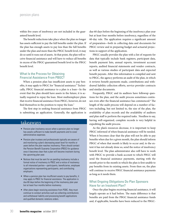within five years of insolvency are not included in the guaranteed benefit level.

The benefit reductions take place when the plan no longer has assets sufficient to pay the full benefits under the plan. If the plan has enough assets to pay less than the full benefits under the plan and more than the PBGC benefit level, it may do so until it runs out of assets. At that point, the plan will receive financial assistance and will have to reduce all benefits in excess of the PBGC-guaranteed benefit level to the PBGC benefit level.

## What Is the Process for Obtaining Financial Assistance From PBGC?

When a pension plan has insufficient assets to pay benefits, it may apply to PBGC for "financial assistance." Technically, PBGC financial assistance to a plan is a loan—In the event that the plan should have assets in the future, it is actually required to repay the loan. Most multiemployer plans that receive financial assistance from PBGC, however, do not find themselves in the position to repay the loan.5

The first step in seeking financial assistance from PBGC is submitting an application. Generally, the application is

## takeaways

- Pension plan insolvency occurs when a pension plan no longer has assets sufficient to make benefit payments and to cover administrative expenses.
- Pension plan trustees and professionals typically are aware of and monitoring a plan's decreasing asset level for months or years before the plan reaches insolvency. Plans should contact the Pension Benefit Guaranty Corporation (PBGC) for guidance once it becomes clear that a plan will become insolvent during the upcoming plan year.
- Notices that must be sent for an pending insolvency include a formal notice of insolvency to PBGC and a notice of insolvency to all interested parties—participants, beneficiaries, employee organizations representing participants, and contributing employers.
- When a pension plan has insufficient assets to pay benefits, it may apply to PBGC for financial assistance. The application is due 60 days before the beginning of the insolvency plan year but at least four months before insolvency.
- After plans begin receiving assistance from PGBC, they must continue to conduct activities such as collecting contributions and withdrawal liability and processing benefit applications and qualified domestic relations orders.

due 60 days before the beginning of the insolvency plan year but at least four months before insolvency, regardless of the 60-day rule. The application requires a significant amount of preparation—both in collecting data and documents for PBGC review and in preparing budget and actuarial projections in support of the application.

PBGC usually provides the plan with a list of requests for data that typically include bank registers, participant data, benefit payment lists, annual reports, investment account reports, audited financial statements and vendor contracts, as well as various studies of participant data and expected benefit payouts. After this information is compiled and sent to PBGC, the agency performs an audit of the plan, in which it reviews benefit payments made, contributions and withdrawal liability collection efforts, service provider contracts and similar documents.

Frequently, PBGC and its auditors have followup questions for the plan, and the audit process sometimes continues even after the financial assistance has commenced.6 The length of the audit process will depend on a number of factors including, but not limited to, the size of the plan, the availability of plan records and the availability of auditors and plan staff to perform the required tasks. Needless to say, having well-organized, complete records is very helpful in expediting the audit process.

As the plan's resources decrease, it is important to keep PBGC informed of when financial assistance will be needed. When it becomes clear that the plan will not be able to pay benefits when due for a given month, the plan should inform PBGC of when that month is likely to occur and, to the extent it has not already done so, send the notice of insolvency benefit level. The plan administrator also will have to work with PBGC to provide a bank account to which PBGC will send the financial assistance payments, starting with the month prior to the month in which the plan is first unable to pay benefits from its existing assets. From then on, the plan will continue to receive PBGC financial assistance payments as long as it needs them.

## What Ongoing Obligations Do Plan Sponsors Have for an Insolvent Plan?

Once the plan begins receiving financial assistance, it will largely operate as it had before. The main difference is that benefits are paid from the PBGC financial assistance funds and, if applicable, benefits have been reduced to the PBGC-